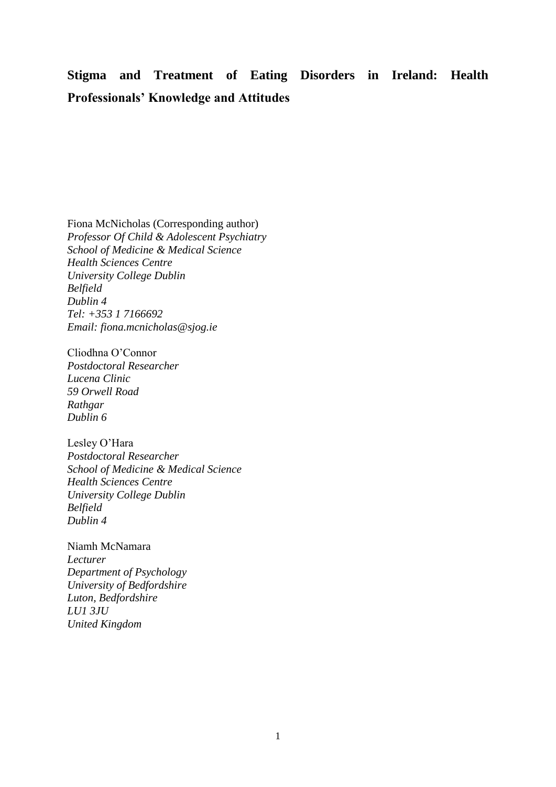# **Stigma and Treatment of Eating Disorders in Ireland: Health Professionals' Knowledge and Attitudes**

Fiona McNicholas (Corresponding author) *Professor Of Child & Adolescent Psychiatry School of Medicine & Medical Science Health Sciences Centre University College Dublin Belfield Dublin 4 Tel: +353 1 7166692 Email: [fiona.mcnicholas@sjog.ie](mailto:fiona.mcnicholas@sjog.ie)*

Cliodhna O'Connor *Postdoctoral Researcher Lucena Clinic 59 Orwell Road Rathgar Dublin 6*

Lesley O'Hara *Postdoctoral Researcher School of Medicine & Medical Science Health Sciences Centre University College Dublin Belfield Dublin 4*

Niamh McNamara *Lecturer Department of Psychology University of Bedfordshire Luton, Bedfordshire LU1 3JU United Kingdom*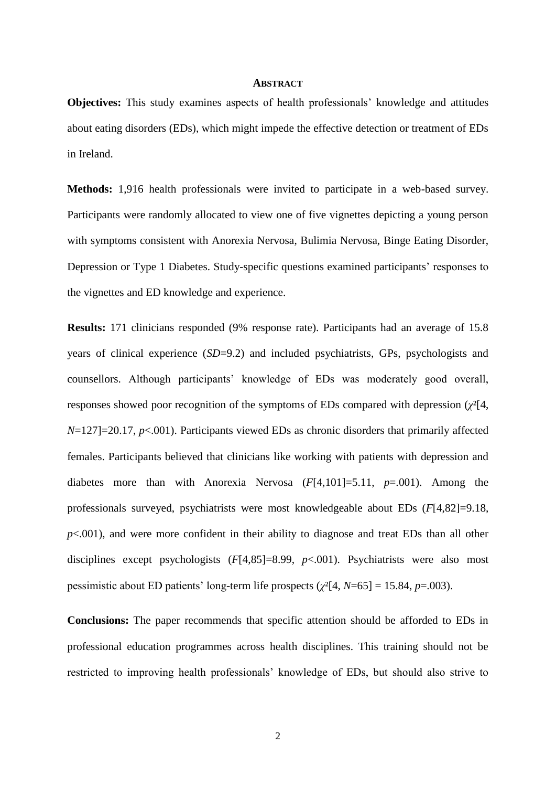# **ABSTRACT**

**Objectives:** This study examines aspects of health professionals' knowledge and attitudes about eating disorders (EDs), which might impede the effective detection or treatment of EDs in Ireland.

**Methods:** 1,916 health professionals were invited to participate in a web-based survey. Participants were randomly allocated to view one of five vignettes depicting a young person with symptoms consistent with Anorexia Nervosa, Bulimia Nervosa, Binge Eating Disorder, Depression or Type 1 Diabetes. Study-specific questions examined participants' responses to the vignettes and ED knowledge and experience.

**Results:** 171 clinicians responded (9% response rate). Participants had an average of 15.8 years of clinical experience (*SD*=9.2) and included psychiatrists, GPs, psychologists and counsellors. Although participants' knowledge of EDs was moderately good overall, responses showed poor recognition of the symptoms of EDs compared with depression (*χ*²[4, *N*=127]=20.17, *p*<.001). Participants viewed EDs as chronic disorders that primarily affected females. Participants believed that clinicians like working with patients with depression and diabetes more than with Anorexia Nervosa (*F*[4,101]=5.11, *p*=.001). Among the professionals surveyed, psychiatrists were most knowledgeable about EDs (*F*[4,82]=9.18,  $p<.001$ ), and were more confident in their ability to diagnose and treat EDs than all other disciplines except psychologists (*F*[4,85]=8.99, *p*<.001). Psychiatrists were also most pessimistic about ED patients' long-term life prospects (*χ*²[4, *N*=65] = 15.84, *p*=.003).

**Conclusions:** The paper recommends that specific attention should be afforded to EDs in professional education programmes across health disciplines. This training should not be restricted to improving health professionals' knowledge of EDs, but should also strive to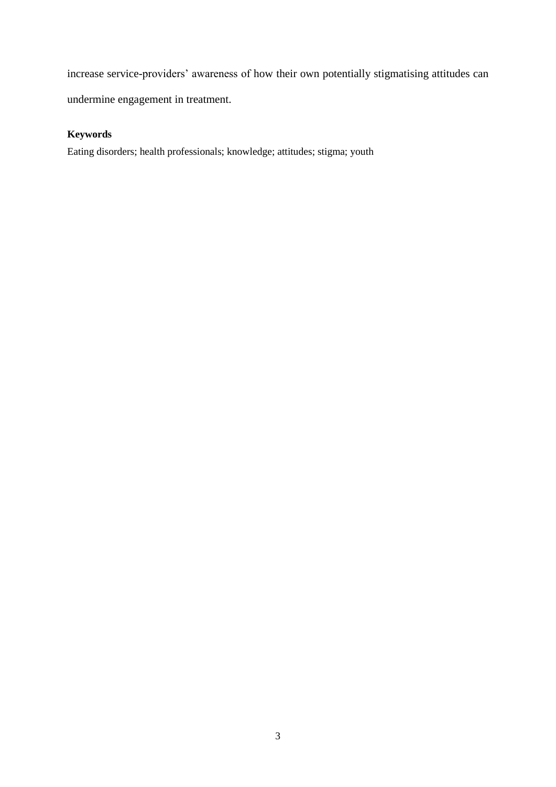increase service-providers' awareness of how their own potentially stigmatising attitudes can undermine engagement in treatment.

# **Keywords**

Eating disorders; health professionals; knowledge; attitudes; stigma; youth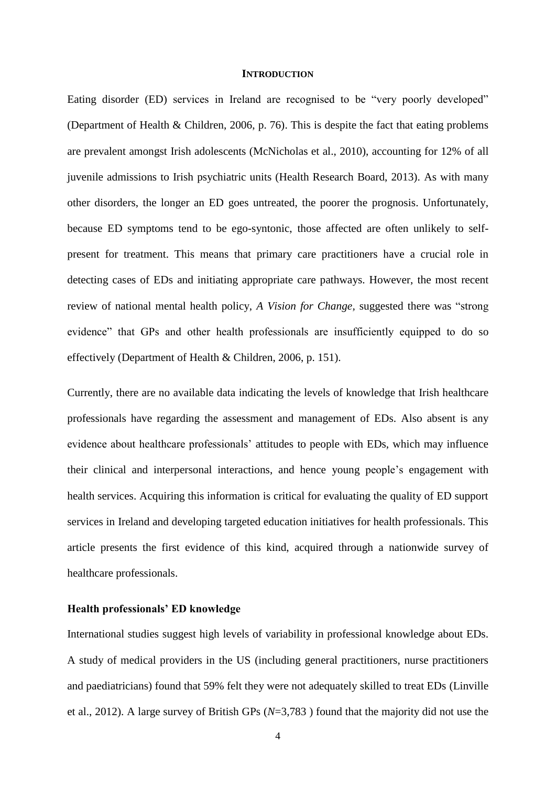# **INTRODUCTION**

Eating disorder (ED) services in Ireland are recognised to be "very poorly developed" (Department of Health & Children, 2006, p. 76). This is despite the fact that eating problems are prevalent amongst Irish adolescents (McNicholas et al., 2010), accounting for 12% of all juvenile admissions to Irish psychiatric units (Health Research Board, 2013). As with many other disorders, the longer an ED goes untreated, the poorer the prognosis. Unfortunately, because ED symptoms tend to be ego-syntonic, those affected are often unlikely to selfpresent for treatment. This means that primary care practitioners have a crucial role in detecting cases of EDs and initiating appropriate care pathways. However, the most recent review of national mental health policy, *A Vision for Change,* suggested there was "strong evidence" that GPs and other health professionals are insufficiently equipped to do so effectively (Department of Health & Children, 2006, p. 151).

Currently, there are no available data indicating the levels of knowledge that Irish healthcare professionals have regarding the assessment and management of EDs. Also absent is any evidence about healthcare professionals' attitudes to people with EDs, which may influence their clinical and interpersonal interactions, and hence young people's engagement with health services. Acquiring this information is critical for evaluating the quality of ED support services in Ireland and developing targeted education initiatives for health professionals. This article presents the first evidence of this kind, acquired through a nationwide survey of healthcare professionals.

# **Health professionals' ED knowledge**

International studies suggest high levels of variability in professional knowledge about EDs. A study of medical providers in the US (including general practitioners, nurse practitioners and paediatricians) found that 59% felt they were not adequately skilled to treat EDs (Linville et al., 2012). A large survey of British GPs (*N*=3,783 ) found that the majority did not use the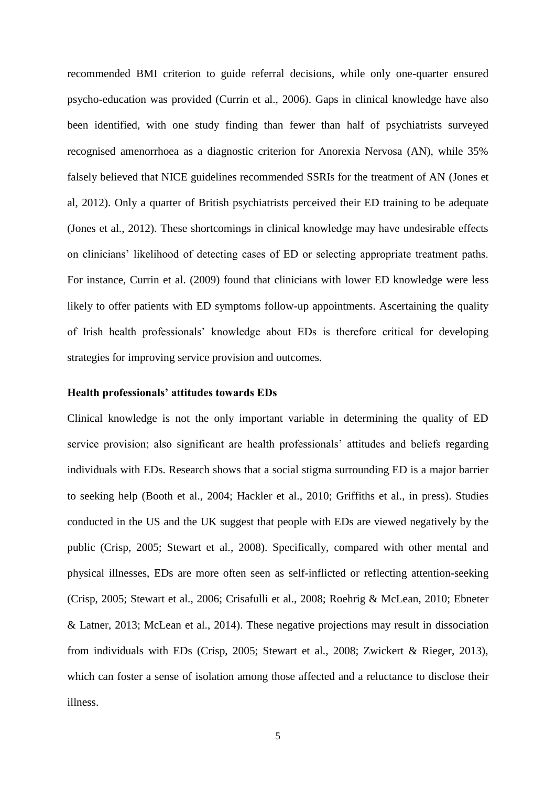recommended BMI criterion to guide referral decisions, while only one-quarter ensured psycho-education was provided (Currin et al., 2006). Gaps in clinical knowledge have also been identified, with one study finding than fewer than half of psychiatrists surveyed recognised amenorrhoea as a diagnostic criterion for Anorexia Nervosa (AN), while 35% falsely believed that NICE guidelines recommended SSRIs for the treatment of AN (Jones et al, 2012). Only a quarter of British psychiatrists perceived their ED training to be adequate (Jones et al., 2012). These shortcomings in clinical knowledge may have undesirable effects on clinicians' likelihood of detecting cases of ED or selecting appropriate treatment paths. For instance, Currin et al. (2009) found that clinicians with lower ED knowledge were less likely to offer patients with ED symptoms follow-up appointments. Ascertaining the quality of Irish health professionals' knowledge about EDs is therefore critical for developing strategies for improving service provision and outcomes.

# **Health professionals' attitudes towards EDs**

Clinical knowledge is not the only important variable in determining the quality of ED service provision; also significant are health professionals' attitudes and beliefs regarding individuals with EDs. Research shows that a social stigma surrounding ED is a major barrier to seeking help (Booth et al., 2004; Hackler et al., 2010; Griffiths et al., in press). Studies conducted in the US and the UK suggest that people with EDs are viewed negatively by the public (Crisp, 2005; Stewart et al., 2008). Specifically, compared with other mental and physical illnesses, EDs are more often seen as self-inflicted or reflecting attention-seeking (Crisp, 2005; Stewart et al., 2006; Crisafulli et al., 2008; Roehrig & McLean, 2010; Ebneter & Latner, 2013; McLean et al., 2014). These negative projections may result in dissociation from individuals with EDs (Crisp, 2005; Stewart et al., 2008; Zwickert & Rieger, 2013), which can foster a sense of isolation among those affected and a reluctance to disclose their illness.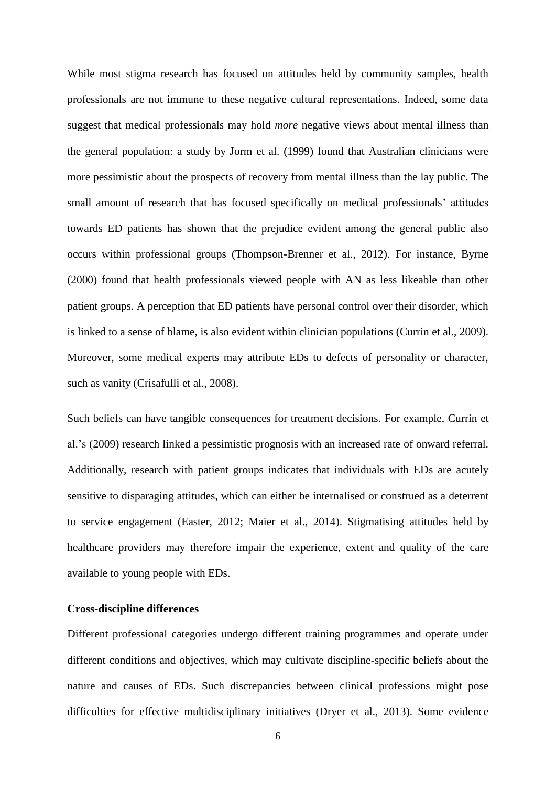While most stigma research has focused on attitudes held by community samples, health professionals are not immune to these negative cultural representations. Indeed, some data suggest that medical professionals may hold *more* negative views about mental illness than the general population: a study by Jorm et al. (1999) found that Australian clinicians were more pessimistic about the prospects of recovery from mental illness than the lay public. The small amount of research that has focused specifically on medical professionals' attitudes towards ED patients has shown that the prejudice evident among the general public also occurs within professional groups (Thompson-Brenner et al., 2012). For instance, Byrne (2000) found that health professionals viewed people with AN as less likeable than other patient groups. A perception that ED patients have personal control over their disorder, which is linked to a sense of blame, is also evident within clinician populations (Currin et al., 2009). Moreover, some medical experts may attribute EDs to defects of personality or character, such as vanity (Crisafulli et al., 2008).

Such beliefs can have tangible consequences for treatment decisions. For example, Currin et al.'s (2009) research linked a pessimistic prognosis with an increased rate of onward referral. Additionally, research with patient groups indicates that individuals with EDs are acutely sensitive to disparaging attitudes, which can either be internalised or construed as a deterrent to service engagement (Easter, 2012; Maier et al., 2014). Stigmatising attitudes held by healthcare providers may therefore impair the experience, extent and quality of the care available to young people with EDs.

# **Cross-discipline differences**

Different professional categories undergo different training programmes and operate under different conditions and objectives, which may cultivate discipline-specific beliefs about the nature and causes of EDs. Such discrepancies between clinical professions might pose difficulties for effective multidisciplinary initiatives (Dryer et al., 2013). Some evidence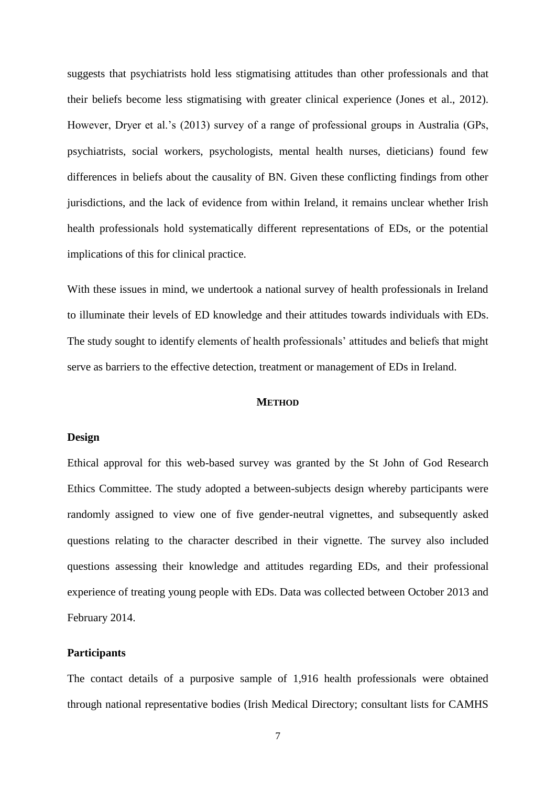suggests that psychiatrists hold less stigmatising attitudes than other professionals and that their beliefs become less stigmatising with greater clinical experience (Jones et al., 2012). However, Dryer et al.'s (2013) survey of a range of professional groups in Australia (GPs, psychiatrists, social workers, psychologists, mental health nurses, dieticians) found few differences in beliefs about the causality of BN. Given these conflicting findings from other jurisdictions, and the lack of evidence from within Ireland, it remains unclear whether Irish health professionals hold systematically different representations of EDs, or the potential implications of this for clinical practice.

With these issues in mind, we undertook a national survey of health professionals in Ireland to illuminate their levels of ED knowledge and their attitudes towards individuals with EDs. The study sought to identify elements of health professionals' attitudes and beliefs that might serve as barriers to the effective detection, treatment or management of EDs in Ireland.

# **METHOD**

# **Design**

Ethical approval for this web-based survey was granted by the St John of God Research Ethics Committee. The study adopted a between-subjects design whereby participants were randomly assigned to view one of five gender-neutral vignettes, and subsequently asked questions relating to the character described in their vignette. The survey also included questions assessing their knowledge and attitudes regarding EDs, and their professional experience of treating young people with EDs. Data was collected between October 2013 and February 2014.

# **Participants**

The contact details of a purposive sample of 1,916 health professionals were obtained through national representative bodies (Irish Medical Directory; consultant lists for CAMHS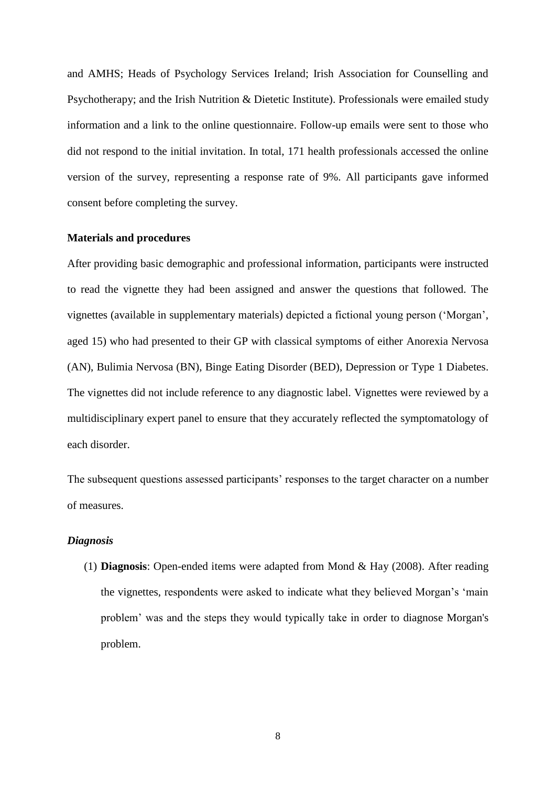and AMHS; Heads of Psychology Services Ireland; Irish Association for Counselling and Psychotherapy; and the Irish Nutrition & Dietetic Institute). Professionals were emailed study information and a link to the online questionnaire. Follow-up emails were sent to those who did not respond to the initial invitation. In total, 171 health professionals accessed the online version of the survey, representing a response rate of 9%. All participants gave informed consent before completing the survey.

# **Materials and procedures**

After providing basic demographic and professional information, participants were instructed to read the vignette they had been assigned and answer the questions that followed. The vignettes (available in supplementary materials) depicted a fictional young person ('Morgan', aged 15) who had presented to their GP with classical symptoms of either Anorexia Nervosa (AN), Bulimia Nervosa (BN), Binge Eating Disorder (BED), Depression or Type 1 Diabetes. The vignettes did not include reference to any diagnostic label. Vignettes were reviewed by a multidisciplinary expert panel to ensure that they accurately reflected the symptomatology of each disorder.

The subsequent questions assessed participants' responses to the target character on a number of measures.

# *Diagnosis*

(1) **Diagnosis**: Open-ended items were adapted from Mond & Hay (2008). After reading the vignettes, respondents were asked to indicate what they believed Morgan's 'main problem' was and the steps they would typically take in order to diagnose Morgan's problem.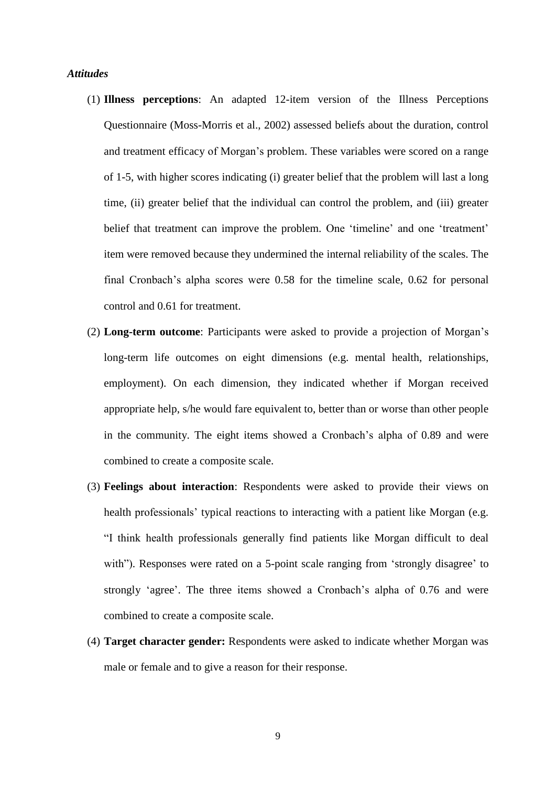# *Attitudes*

- (1) **Illness perceptions**: An adapted 12-item version of the Illness Perceptions Questionnaire (Moss-Morris et al., 2002) assessed beliefs about the duration, control and treatment efficacy of Morgan's problem. These variables were scored on a range of 1-5, with higher scores indicating (i) greater belief that the problem will last a long time, (ii) greater belief that the individual can control the problem, and (iii) greater belief that treatment can improve the problem. One 'timeline' and one 'treatment' item were removed because they undermined the internal reliability of the scales. The final Cronbach's alpha scores were 0.58 for the timeline scale, 0.62 for personal control and 0.61 for treatment.
- (2) **Long-term outcome**: Participants were asked to provide a projection of Morgan's long-term life outcomes on eight dimensions (e.g. mental health, relationships, employment). On each dimension, they indicated whether if Morgan received appropriate help, s/he would fare equivalent to, better than or worse than other people in the community. The eight items showed a Cronbach's alpha of 0.89 and were combined to create a composite scale.
- (3) **Feelings about interaction**: Respondents were asked to provide their views on health professionals' typical reactions to interacting with a patient like Morgan (e.g. "I think health professionals generally find patients like Morgan difficult to deal with"). Responses were rated on a 5-point scale ranging from 'strongly disagree' to strongly 'agree'. The three items showed a Cronbach's alpha of 0.76 and were combined to create a composite scale.
- (4) **Target character gender:** Respondents were asked to indicate whether Morgan was male or female and to give a reason for their response.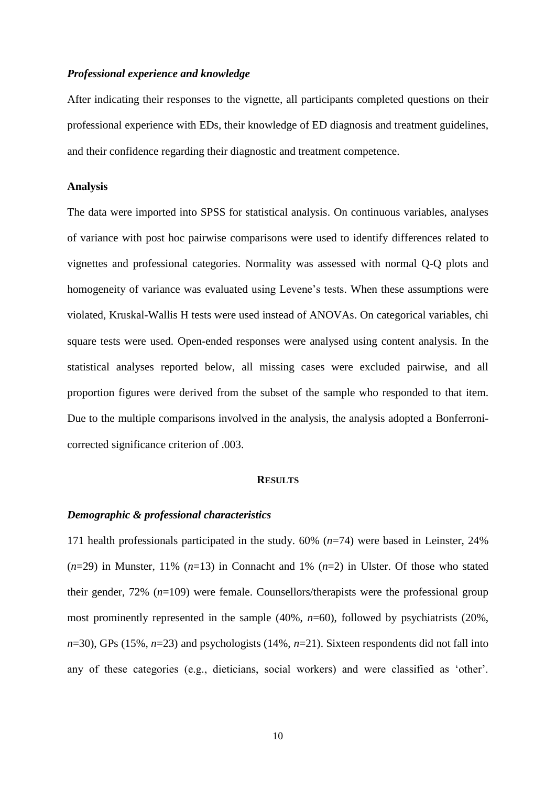# *Professional experience and knowledge*

After indicating their responses to the vignette, all participants completed questions on their professional experience with EDs, their knowledge of ED diagnosis and treatment guidelines, and their confidence regarding their diagnostic and treatment competence.

#### **Analysis**

The data were imported into SPSS for statistical analysis. On continuous variables, analyses of variance with post hoc pairwise comparisons were used to identify differences related to vignettes and professional categories. Normality was assessed with normal Q-Q plots and homogeneity of variance was evaluated using Levene's tests. When these assumptions were violated, Kruskal-Wallis H tests were used instead of ANOVAs. On categorical variables, chi square tests were used. Open-ended responses were analysed using content analysis. In the statistical analyses reported below, all missing cases were excluded pairwise, and all proportion figures were derived from the subset of the sample who responded to that item. Due to the multiple comparisons involved in the analysis, the analysis adopted a Bonferronicorrected significance criterion of .003.

#### **RESULTS**

# *Demographic & professional characteristics*

171 health professionals participated in the study. 60% (*n*=74) were based in Leinster, 24%  $(n=29)$  in Munster, 11%  $(n=13)$  in Connacht and 1%  $(n=2)$  in Ulster. Of those who stated their gender, 72% (*n*=109) were female. Counsellors/therapists were the professional group most prominently represented in the sample (40%, *n*=60), followed by psychiatrists (20%, *n*=30), GPs (15%, *n*=23) and psychologists (14%, *n*=21). Sixteen respondents did not fall into any of these categories (e.g., dieticians, social workers) and were classified as 'other'.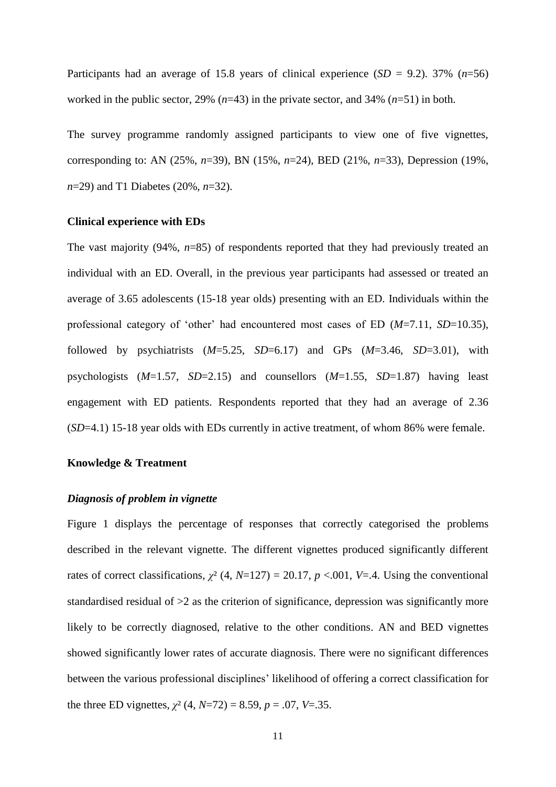Participants had an average of 15.8 years of clinical experience (*SD* = 9.2). 37% (*n*=56) worked in the public sector, 29% (*n*=43) in the private sector, and 34% (*n*=51) in both.

The survey programme randomly assigned participants to view one of five vignettes, corresponding to: AN (25%, *n*=39), BN (15%, *n*=24), BED (21%, *n*=33), Depression (19%, *n*=29) and T1 Diabetes (20%, *n*=32).

# **Clinical experience with EDs**

The vast majority (94%, *n*=85) of respondents reported that they had previously treated an individual with an ED. Overall, in the previous year participants had assessed or treated an average of 3.65 adolescents (15-18 year olds) presenting with an ED. Individuals within the professional category of 'other' had encountered most cases of ED (*M*=7.11, *SD*=10.35), followed by psychiatrists  $(M=5.25, SD=6.17)$  and GPs  $(M=3.46, SD=3.01)$ , with psychologists (*M*=1.57, *SD*=2.15) and counsellors (*M*=1.55, *SD*=1.87) having least engagement with ED patients. Respondents reported that they had an average of 2.36 (*SD*=4.1) 15-18 year olds with EDs currently in active treatment, of whom 86% were female.

# **Knowledge & Treatment**

# *Diagnosis of problem in vignette*

Figure 1 displays the percentage of responses that correctly categorised the problems described in the relevant vignette. The different vignettes produced significantly different rates of correct classifications,  $\chi^2$  (4, *N*=127) = 20.17, *p* <.001, *V*=.4. Using the conventional standardised residual of >2 as the criterion of significance, depression was significantly more likely to be correctly diagnosed, relative to the other conditions. AN and BED vignettes showed significantly lower rates of accurate diagnosis. There were no significant differences between the various professional disciplines' likelihood of offering a correct classification for the three ED vignettes,  $\chi^2$  (4, *N*=72) = 8.59, *p* = .07, *V*=.35.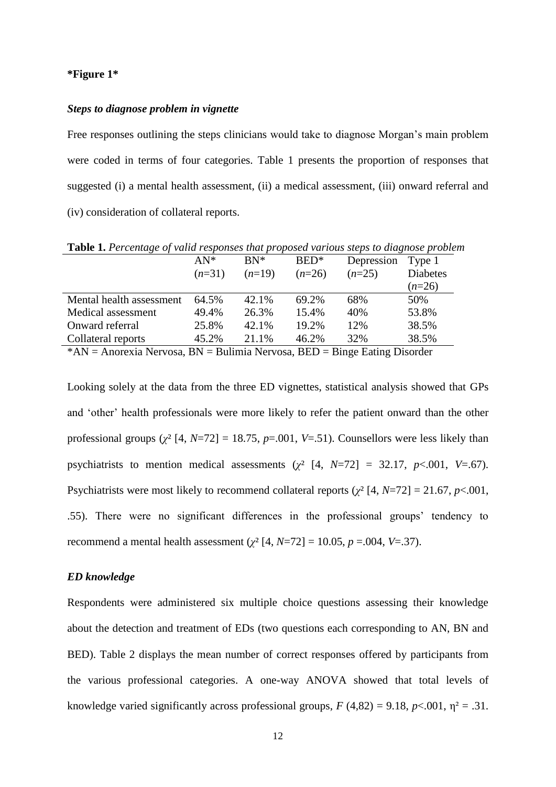#### **\*Figure 1\***

# *Steps to diagnose problem in vignette*

Free responses outlining the steps clinicians would take to diagnose Morgan's main problem were coded in terms of four categories. Table 1 presents the proportion of responses that suggested (i) a mental health assessment, (ii) a medical assessment, (iii) onward referral and (iv) consideration of collateral reports.

AN\* (*n*=31) BN\* (*n*=19) BED\* (*n*=26) Depression  $(n=25)$ Type 1 Diabetes (*n*=26) Mental health assessment 64.5% 42.1% 69.2% 68% 50% Medical assessment 49.4% 26.3% 15.4% 40% 53.8% Onward referral 25.8% 42.1% 19.2% 12% 38.5% Collateral reports 45.2% 21.1% 46.2% 32% 38.5%

**Table 1.** *Percentage of valid responses that proposed various steps to diagnose problem*

 $*AN = Anorexia Nervosa, BN = Bulimia Nervosa, BED = Binge Eating Disorder$ 

Looking solely at the data from the three ED vignettes, statistical analysis showed that GPs and 'other' health professionals were more likely to refer the patient onward than the other professional groups  $(\chi^2 \mid 4, N=72] = 18.75$ ,  $p=.001$ ,  $V=.51$ ). Counsellors were less likely than psychiatrists to mention medical assessments ( $\chi^2$  [4, *N*=72] = 32.17, *p*<.001, *V*=.67). Psychiatrists were most likely to recommend collateral reports ( $\chi^2$  [4, *N*=72] = 21.67, *p*<.001, .55). There were no significant differences in the professional groups' tendency to recommend a mental health assessment ( $\chi^2$  [4, *N*=72] = 10.05, *p* =.004, *V*=.37).

# *ED knowledge*

Respondents were administered six multiple choice questions assessing their knowledge about the detection and treatment of EDs (two questions each corresponding to AN, BN and BED). Table 2 displays the mean number of correct responses offered by participants from the various professional categories. A one-way ANOVA showed that total levels of knowledge varied significantly across professional groups,  $F(4,82) = 9.18$ ,  $p < .001$ ,  $p^2 = .31$ .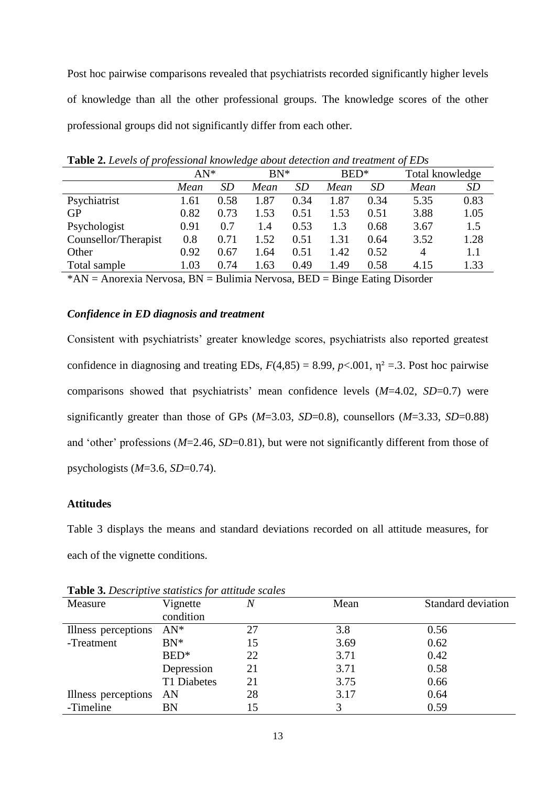Post hoc pairwise comparisons revealed that psychiatrists recorded significantly higher levels of knowledge than all the other professional groups. The knowledge scores of the other professional groups did not significantly differ from each other.

| <b>Table 2.</b> Levels of professional monitage about attending the treatment of LDs |        |           |        |           |                  |           |                 |           |
|--------------------------------------------------------------------------------------|--------|-----------|--------|-----------|------------------|-----------|-----------------|-----------|
|                                                                                      | $AN^*$ |           | $BN^*$ |           | BED <sup>*</sup> |           | Total knowledge |           |
|                                                                                      | Mean   | <i>SD</i> | Mean   | <i>SD</i> | Mean             | <i>SD</i> | Mean            | <i>SD</i> |
| Psychiatrist                                                                         | 1.61   | 0.58      | 1.87   | 0.34      | 1.87             | 0.34      | 5.35            | 0.83      |
| <b>GP</b>                                                                            | 0.82   | 0.73      | 1.53   | 0.51      | 1.53             | 0.51      | 3.88            | 1.05      |
| Psychologist                                                                         | 0.91   | 0.7       | 1.4    | 0.53      | 1.3              | 0.68      | 3.67            | 1.5       |
| Counsellor/Therapist                                                                 | 0.8    | 0.71      | 1.52   | 0.51      | 1.31             | 0.64      | 3.52            | 1.28      |
| Other                                                                                | 0.92   | 0.67      | 1.64   | 0.51      | 1.42             | 0.52      | 4               | 1.1       |
| Total sample                                                                         | 1.03   | 0.74      | 1.63   | 0.49      | 1.49             | 0.58      | 4.15            | 1.33      |

**Table 2.** *Levels of professional knowledge about detection and treatment of EDs*

\*AN = Anorexia Nervosa, BN = Bulimia Nervosa, BED = Binge Eating Disorder

# *Confidence in ED diagnosis and treatment*

Consistent with psychiatrists' greater knowledge scores, psychiatrists also reported greatest confidence in diagnosing and treating EDs,  $F(4,85) = 8.99$ ,  $p < .001$ ,  $\eta^2 = .3$ . Post hoc pairwise comparisons showed that psychiatrists' mean confidence levels (*M*=4.02, *SD*=0.7) were significantly greater than those of GPs (*M*=3.03, *SD*=0.8), counsellors (*M*=3.33, *SD*=0.88) and 'other' professions (*M*=2.46, *SD*=0.81), but were not significantly different from those of psychologists (*M*=3.6, *SD*=0.74).

# **Attitudes**

Table 3 displays the means and standard deviations recorded on all attitude measures, for each of the vignette conditions.

| Measure             | Vignette    | $\,N$ | Mean | Standard deviation |
|---------------------|-------------|-------|------|--------------------|
|                     | condition   |       |      |                    |
| Illness perceptions | $AN^*$      | 27    | 3.8  | 0.56               |
| -Treatment          | $BN^*$      | 15    | 3.69 | 0.62               |
|                     | BED*        | 22    | 3.71 | 0.42               |
|                     | Depression  | 21    | 3.71 | 0.58               |
|                     | T1 Diabetes | 21    | 3.75 | 0.66               |
| Illness perceptions | AN          | 28    | 3.17 | 0.64               |
| -Timeline           | BN          |       |      | 0.59               |

**Table 3.** *Descriptive statistics for attitude scales*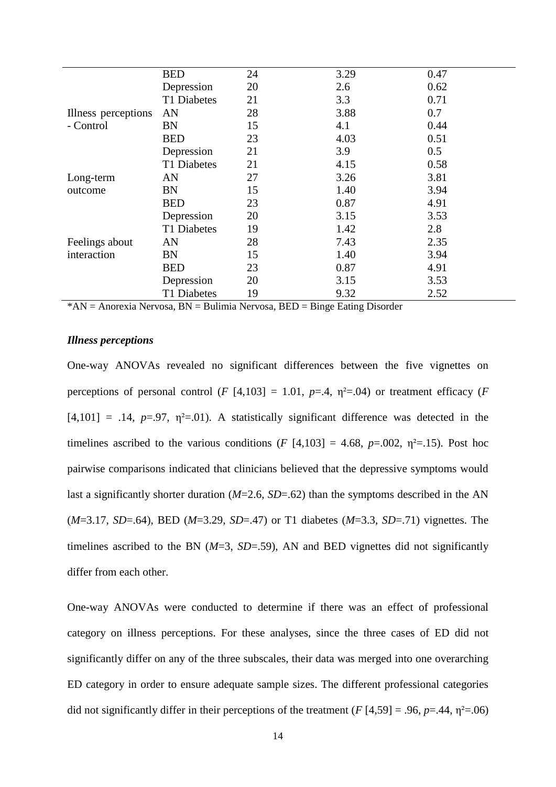|                                  | <b>BED</b>  | 24 | 3.29 | 0.47 |
|----------------------------------|-------------|----|------|------|
| Illness perceptions<br>- Control | Depression  | 20 | 2.6  | 0.62 |
|                                  | T1 Diabetes | 21 | 3.3  | 0.71 |
|                                  | AN          | 28 | 3.88 | 0.7  |
|                                  | <b>BN</b>   | 15 | 4.1  | 0.44 |
|                                  | <b>BED</b>  | 23 | 4.03 | 0.51 |
|                                  | Depression  | 21 | 3.9  | 0.5  |
|                                  | T1 Diabetes | 21 | 4.15 | 0.58 |
| Long-term                        | AN          | 27 | 3.26 | 3.81 |
| outcome                          | <b>BN</b>   | 15 | 1.40 | 3.94 |
|                                  | <b>BED</b>  | 23 | 0.87 | 4.91 |
|                                  | Depression  | 20 | 3.15 | 3.53 |
|                                  | T1 Diabetes | 19 | 1.42 | 2.8  |
| Feelings about                   | AN          | 28 | 7.43 | 2.35 |
| interaction                      | <b>BN</b>   | 15 | 1.40 | 3.94 |
|                                  | <b>BED</b>  | 23 | 0.87 | 4.91 |
|                                  | Depression  | 20 | 3.15 | 3.53 |
|                                  | T1 Diabetes | 19 | 9.32 | 2.52 |

 $*AN = Anorexia Nervosa, BN = Bulimia Nervosa, BED = Binge Eating Disorder$ 

# *Illness perceptions*

One-way ANOVAs revealed no significant differences between the five vignettes on perceptions of personal control (*F* [4,103] = 1.01,  $p=0.4$ ,  $p^2=0.04$ ) or treatment efficacy (*F*  $[4,101] = .14$ ,  $p=.97$ ,  $\eta^2=.01$ ). A statistically significant difference was detected in the timelines ascribed to the various conditions ( $F$  [4,103] = 4.68,  $p=0.002$ ,  $\eta^2=0.15$ ). Post hoc pairwise comparisons indicated that clinicians believed that the depressive symptoms would last a significantly shorter duration (*M*=2.6, *SD*=.62) than the symptoms described in the AN (*M*=3.17, *SD*=.64), BED (*M*=3.29, *SD*=.47) or T1 diabetes (*M*=3.3, *SD*=.71) vignettes. The timelines ascribed to the BN  $(M=3, SD=.59)$ , AN and BED vignettes did not significantly differ from each other.

One-way ANOVAs were conducted to determine if there was an effect of professional category on illness perceptions. For these analyses, since the three cases of ED did not significantly differ on any of the three subscales, their data was merged into one overarching ED category in order to ensure adequate sample sizes. The different professional categories did not significantly differ in their perceptions of the treatment  $(F[4,59] = .96, p=.44, \eta^2=.06)$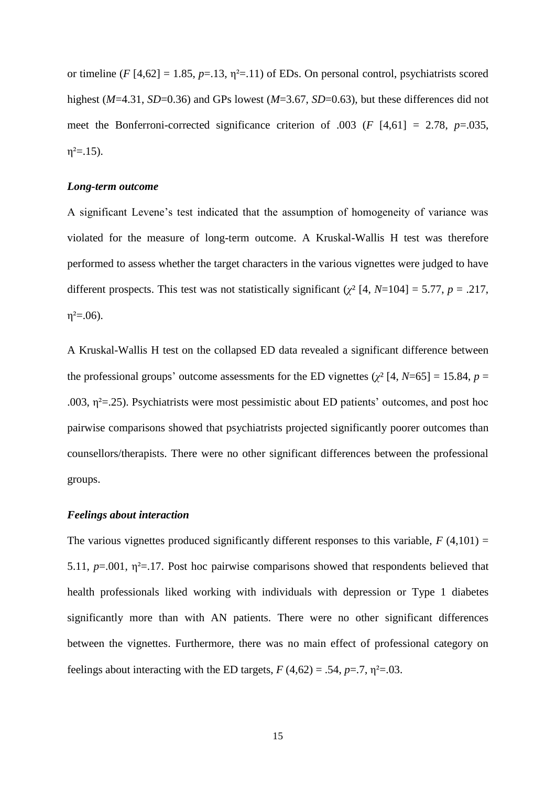or timeline ( $F$  [4,62] = 1.85,  $p=13$ ,  $\eta^2=11$ ) of EDs. On personal control, psychiatrists scored highest (*M*=4.31, *SD*=0.36) and GPs lowest (*M*=3.67, *SD*=0.63), but these differences did not meet the Bonferroni-corrected significance criterion of .003 (*F* [4,61] = 2.78, *p*=.035,  $\eta^2 = 15$ ).

#### *Long-term outcome*

A significant Levene's test indicated that the assumption of homogeneity of variance was violated for the measure of long-term outcome. A Kruskal-Wallis H test was therefore performed to assess whether the target characters in the various vignettes were judged to have different prospects. This test was not statistically significant ( $\chi^2$  [4, *N*=104] = 5.77, *p* = .217,  $\eta^2 = 0.06$ ).

A Kruskal-Wallis H test on the collapsed ED data revealed a significant difference between the professional groups' outcome assessments for the ED vignettes ( $\chi^2$  [4, *N*=65] = 15.84, *p* = .003,  $\eta^2$ =.25). Psychiatrists were most pessimistic about ED patients' outcomes, and post hoc pairwise comparisons showed that psychiatrists projected significantly poorer outcomes than counsellors/therapists. There were no other significant differences between the professional groups.

# *Feelings about interaction*

The various vignettes produced significantly different responses to this variable,  $F(4,101) =$ 5.11,  $p=0.001$ ,  $\eta^2=0.17$ . Post hoc pairwise comparisons showed that respondents believed that health professionals liked working with individuals with depression or Type 1 diabetes significantly more than with AN patients. There were no other significant differences between the vignettes. Furthermore, there was no main effect of professional category on feelings about interacting with the ED targets,  $F(4,62) = .54$ ,  $p=.7$ ,  $p^2=.03$ .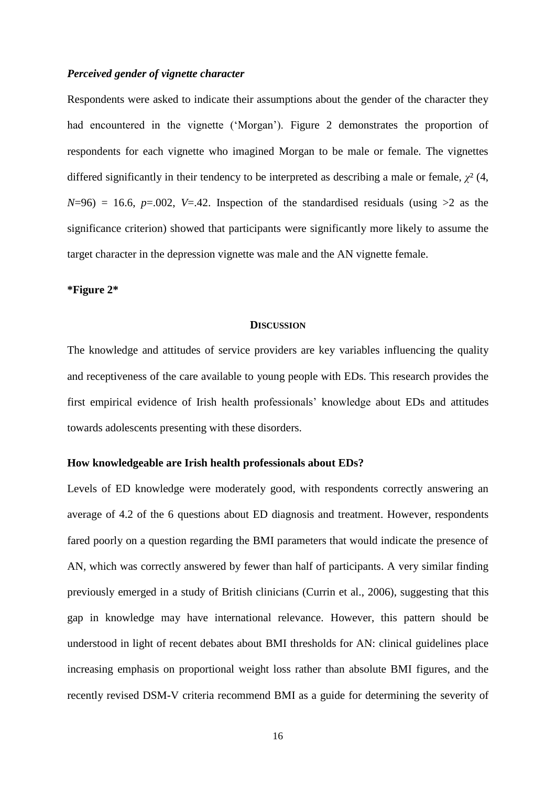# *Perceived gender of vignette character*

Respondents were asked to indicate their assumptions about the gender of the character they had encountered in the vignette ('Morgan'). Figure 2 demonstrates the proportion of respondents for each vignette who imagined Morgan to be male or female. The vignettes differed significantly in their tendency to be interpreted as describing a male or female, *χ*² (4,  $N=96$ ) = 16.6,  $p=.002$ ,  $V=.42$ . Inspection of the standardised residuals (using  $>2$  as the significance criterion) showed that participants were significantly more likely to assume the target character in the depression vignette was male and the AN vignette female.

# **\*Figure 2\***

#### **DISCUSSION**

The knowledge and attitudes of service providers are key variables influencing the quality and receptiveness of the care available to young people with EDs. This research provides the first empirical evidence of Irish health professionals' knowledge about EDs and attitudes towards adolescents presenting with these disorders.

# **How knowledgeable are Irish health professionals about EDs?**

Levels of ED knowledge were moderately good, with respondents correctly answering an average of 4.2 of the 6 questions about ED diagnosis and treatment. However, respondents fared poorly on a question regarding the BMI parameters that would indicate the presence of AN, which was correctly answered by fewer than half of participants. A very similar finding previously emerged in a study of British clinicians (Currin et al., 2006), suggesting that this gap in knowledge may have international relevance. However, this pattern should be understood in light of recent debates about BMI thresholds for AN: clinical guidelines place increasing emphasis on proportional weight loss rather than absolute BMI figures, and the recently revised DSM-V criteria recommend BMI as a guide for determining the severity of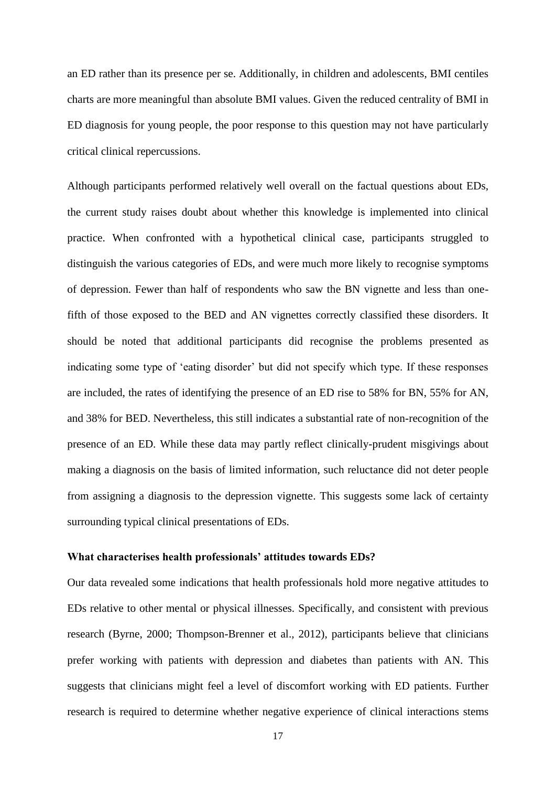an ED rather than its presence per se. Additionally, in children and adolescents, BMI centiles charts are more meaningful than absolute BMI values. Given the reduced centrality of BMI in ED diagnosis for young people, the poor response to this question may not have particularly critical clinical repercussions.

Although participants performed relatively well overall on the factual questions about EDs, the current study raises doubt about whether this knowledge is implemented into clinical practice. When confronted with a hypothetical clinical case, participants struggled to distinguish the various categories of EDs, and were much more likely to recognise symptoms of depression. Fewer than half of respondents who saw the BN vignette and less than onefifth of those exposed to the BED and AN vignettes correctly classified these disorders. It should be noted that additional participants did recognise the problems presented as indicating some type of 'eating disorder' but did not specify which type. If these responses are included, the rates of identifying the presence of an ED rise to 58% for BN, 55% for AN, and 38% for BED. Nevertheless, this still indicates a substantial rate of non-recognition of the presence of an ED. While these data may partly reflect clinically-prudent misgivings about making a diagnosis on the basis of limited information, such reluctance did not deter people from assigning a diagnosis to the depression vignette. This suggests some lack of certainty surrounding typical clinical presentations of EDs.

# **What characterises health professionals' attitudes towards EDs?**

Our data revealed some indications that health professionals hold more negative attitudes to EDs relative to other mental or physical illnesses. Specifically, and consistent with previous research (Byrne, 2000; Thompson-Brenner et al., 2012), participants believe that clinicians prefer working with patients with depression and diabetes than patients with AN. This suggests that clinicians might feel a level of discomfort working with ED patients. Further research is required to determine whether negative experience of clinical interactions stems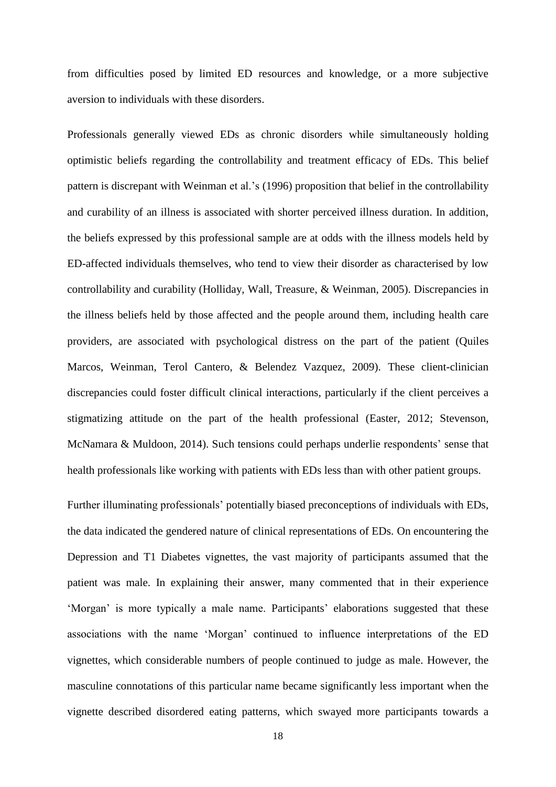from difficulties posed by limited ED resources and knowledge, or a more subjective aversion to individuals with these disorders.

Professionals generally viewed EDs as chronic disorders while simultaneously holding optimistic beliefs regarding the controllability and treatment efficacy of EDs. This belief pattern is discrepant with Weinman et al.'s (1996) proposition that belief in the controllability and curability of an illness is associated with shorter perceived illness duration. In addition, the beliefs expressed by this professional sample are at odds with the illness models held by ED-affected individuals themselves, who tend to view their disorder as characterised by low controllability and curability (Holliday, Wall, Treasure, & Weinman, 2005). Discrepancies in the illness beliefs held by those affected and the people around them, including health care providers, are associated with psychological distress on the part of the patient (Quiles Marcos, Weinman, Terol Cantero, & Belendez Vazquez, 2009). These client-clinician discrepancies could foster difficult clinical interactions, particularly if the client perceives a stigmatizing attitude on the part of the health professional (Easter, 2012; Stevenson, McNamara & Muldoon, 2014). Such tensions could perhaps underlie respondents' sense that health professionals like working with patients with EDs less than with other patient groups.

Further illuminating professionals' potentially biased preconceptions of individuals with EDs, the data indicated the gendered nature of clinical representations of EDs. On encountering the Depression and T1 Diabetes vignettes, the vast majority of participants assumed that the patient was male. In explaining their answer, many commented that in their experience 'Morgan' is more typically a male name. Participants' elaborations suggested that these associations with the name 'Morgan' continued to influence interpretations of the ED vignettes, which considerable numbers of people continued to judge as male. However, the masculine connotations of this particular name became significantly less important when the vignette described disordered eating patterns, which swayed more participants towards a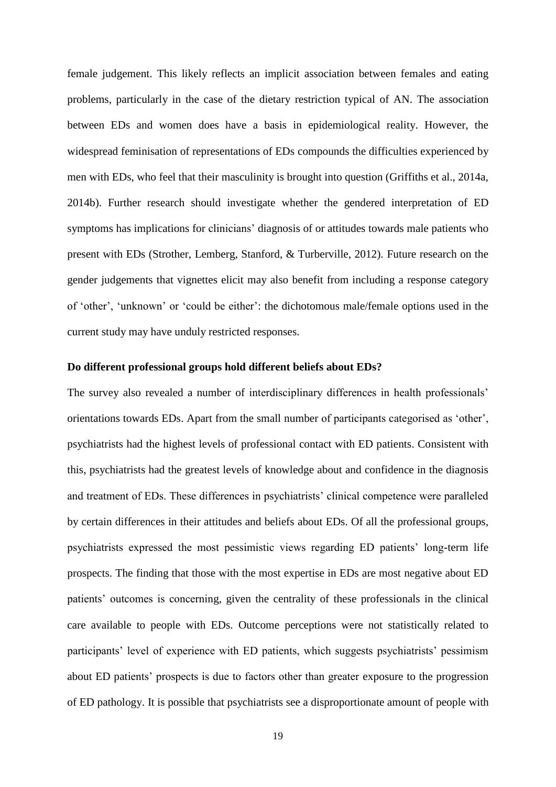female judgement. This likely reflects an implicit association between females and eating problems, particularly in the case of the dietary restriction typical of AN. The association between EDs and women does have a basis in epidemiological reality. However, the widespread feminisation of representations of EDs compounds the difficulties experienced by men with EDs, who feel that their masculinity is brought into question (Griffiths et al., 2014a, 2014b). Further research should investigate whether the gendered interpretation of ED symptoms has implications for clinicians' diagnosis of or attitudes towards male patients who present with EDs (Strother, Lemberg, Stanford, & Turberville, 2012). Future research on the gender judgements that vignettes elicit may also benefit from including a response category of 'other', 'unknown' or 'could be either': the dichotomous male/female options used in the current study may have unduly restricted responses.

# **Do different professional groups hold different beliefs about EDs?**

The survey also revealed a number of interdisciplinary differences in health professionals' orientations towards EDs. Apart from the small number of participants categorised as 'other', psychiatrists had the highest levels of professional contact with ED patients. Consistent with this, psychiatrists had the greatest levels of knowledge about and confidence in the diagnosis and treatment of EDs. These differences in psychiatrists' clinical competence were paralleled by certain differences in their attitudes and beliefs about EDs. Of all the professional groups, psychiatrists expressed the most pessimistic views regarding ED patients' long-term life prospects. The finding that those with the most expertise in EDs are most negative about ED patients' outcomes is concerning, given the centrality of these professionals in the clinical care available to people with EDs. Outcome perceptions were not statistically related to participants' level of experience with ED patients, which suggests psychiatrists' pessimism about ED patients' prospects is due to factors other than greater exposure to the progression of ED pathology. It is possible that psychiatrists see a disproportionate amount of people with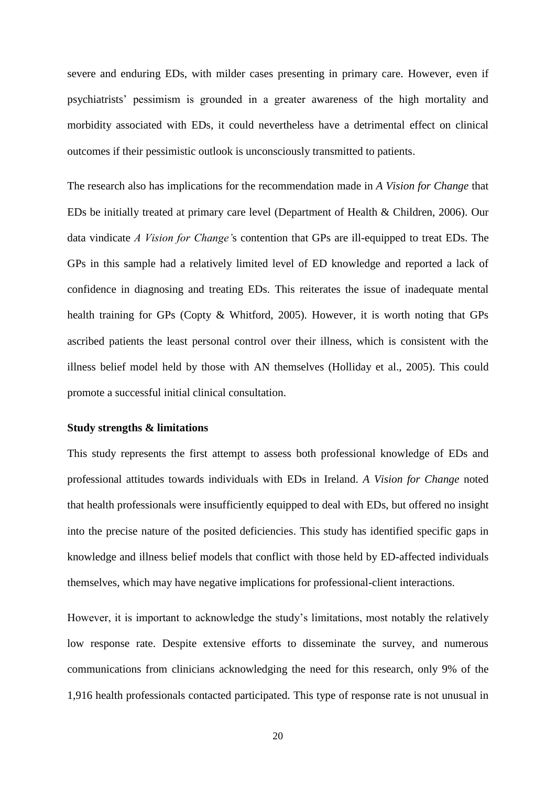severe and enduring EDs, with milder cases presenting in primary care. However, even if psychiatrists' pessimism is grounded in a greater awareness of the high mortality and morbidity associated with EDs, it could nevertheless have a detrimental effect on clinical outcomes if their pessimistic outlook is unconsciously transmitted to patients.

The research also has implications for the recommendation made in *A Vision for Change* that EDs be initially treated at primary care level (Department of Health & Children, 2006). Our data vindicate *A Vision for Change'*s contention that GPs are ill-equipped to treat EDs. The GPs in this sample had a relatively limited level of ED knowledge and reported a lack of confidence in diagnosing and treating EDs. This reiterates the issue of inadequate mental health training for GPs (Copty & Whitford, 2005). However, it is worth noting that GPs ascribed patients the least personal control over their illness, which is consistent with the illness belief model held by those with AN themselves (Holliday et al., 2005). This could promote a successful initial clinical consultation.

# **Study strengths & limitations**

This study represents the first attempt to assess both professional knowledge of EDs and professional attitudes towards individuals with EDs in Ireland. *A Vision for Change* noted that health professionals were insufficiently equipped to deal with EDs, but offered no insight into the precise nature of the posited deficiencies. This study has identified specific gaps in knowledge and illness belief models that conflict with those held by ED-affected individuals themselves, which may have negative implications for professional-client interactions.

However, it is important to acknowledge the study's limitations, most notably the relatively low response rate. Despite extensive efforts to disseminate the survey, and numerous communications from clinicians acknowledging the need for this research, only 9% of the 1,916 health professionals contacted participated. This type of response rate is not unusual in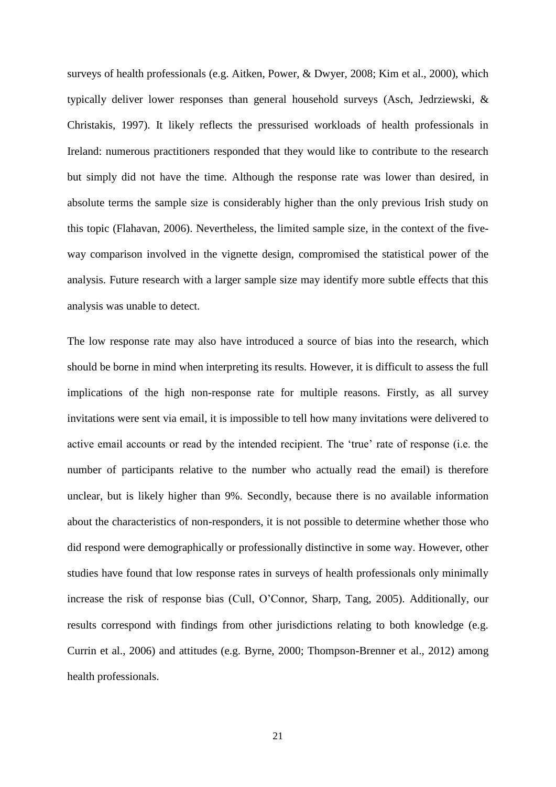surveys of health professionals (e.g. Aitken, Power, & Dwyer, 2008; Kim et al., 2000), which typically deliver lower responses than general household surveys (Asch, Jedrziewski, & Christakis, 1997). It likely reflects the pressurised workloads of health professionals in Ireland: numerous practitioners responded that they would like to contribute to the research but simply did not have the time. Although the response rate was lower than desired, in absolute terms the sample size is considerably higher than the only previous Irish study on this topic (Flahavan, 2006). Nevertheless, the limited sample size, in the context of the fiveway comparison involved in the vignette design, compromised the statistical power of the analysis. Future research with a larger sample size may identify more subtle effects that this analysis was unable to detect.

The low response rate may also have introduced a source of bias into the research, which should be borne in mind when interpreting its results. However, it is difficult to assess the full implications of the high non-response rate for multiple reasons. Firstly, as all survey invitations were sent via email, it is impossible to tell how many invitations were delivered to active email accounts or read by the intended recipient. The 'true' rate of response (i.e. the number of participants relative to the number who actually read the email) is therefore unclear, but is likely higher than 9%. Secondly, because there is no available information about the characteristics of non-responders, it is not possible to determine whether those who did respond were demographically or professionally distinctive in some way. However, other studies have found that low response rates in surveys of health professionals only minimally increase the risk of response bias (Cull, O'Connor, Sharp, Tang, 2005). Additionally, our results correspond with findings from other jurisdictions relating to both knowledge (e.g. Currin et al., 2006) and attitudes (e.g. Byrne, 2000; Thompson-Brenner et al., 2012) among health professionals.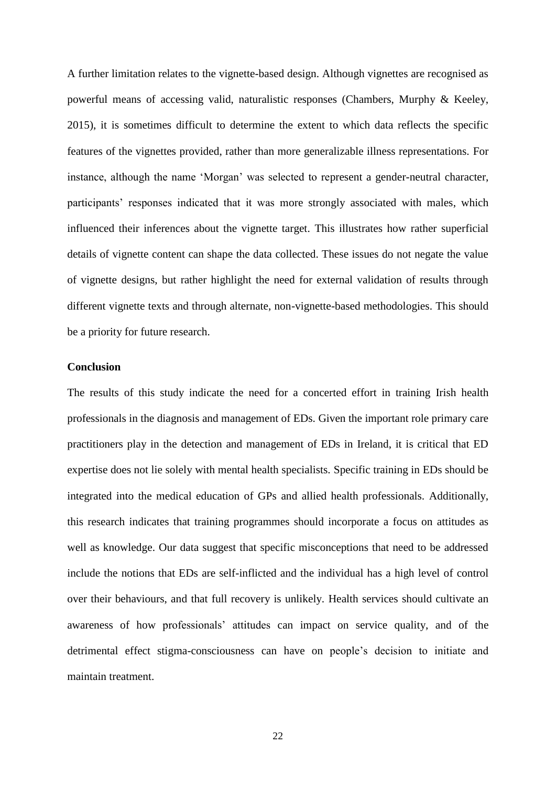A further limitation relates to the vignette-based design. Although vignettes are recognised as powerful means of accessing valid, naturalistic responses (Chambers, Murphy & Keeley, 2015), it is sometimes difficult to determine the extent to which data reflects the specific features of the vignettes provided, rather than more generalizable illness representations. For instance, although the name 'Morgan' was selected to represent a gender-neutral character, participants' responses indicated that it was more strongly associated with males, which influenced their inferences about the vignette target. This illustrates how rather superficial details of vignette content can shape the data collected. These issues do not negate the value of vignette designs, but rather highlight the need for external validation of results through different vignette texts and through alternate, non-vignette-based methodologies. This should be a priority for future research.

# **Conclusion**

The results of this study indicate the need for a concerted effort in training Irish health professionals in the diagnosis and management of EDs. Given the important role primary care practitioners play in the detection and management of EDs in Ireland, it is critical that ED expertise does not lie solely with mental health specialists. Specific training in EDs should be integrated into the medical education of GPs and allied health professionals. Additionally, this research indicates that training programmes should incorporate a focus on attitudes as well as knowledge. Our data suggest that specific misconceptions that need to be addressed include the notions that EDs are self-inflicted and the individual has a high level of control over their behaviours, and that full recovery is unlikely. Health services should cultivate an awareness of how professionals' attitudes can impact on service quality, and of the detrimental effect stigma-consciousness can have on people's decision to initiate and maintain treatment.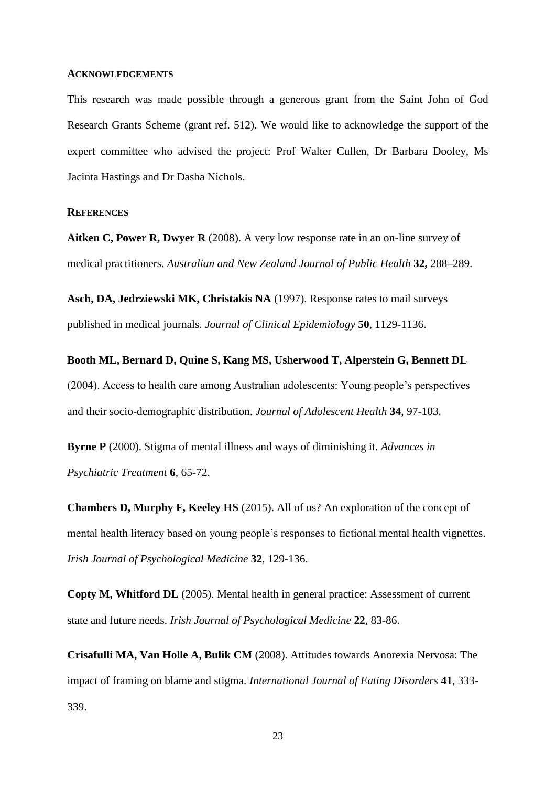#### **ACKNOWLEDGEMENTS**

This research was made possible through a generous grant from the Saint John of God Research Grants Scheme (grant ref. 512). We would like to acknowledge the support of the expert committee who advised the project: Prof Walter Cullen, Dr Barbara Dooley, Ms Jacinta Hastings and Dr Dasha Nichols.

# **REFERENCES**

**Aitken C, Power R, Dwyer R** (2008). A very low response rate in an on-line survey of medical practitioners. *Australian and New Zealand Journal of Public Health* **32,** 288–289.

**Asch, DA, Jedrziewski MK, Christakis NA** (1997). Response rates to mail surveys published in medical journals. *Journal of Clinical Epidemiology* **50**, 1129-1136.

**Booth ML, Bernard D, Quine S, Kang MS, Usherwood T, Alperstein G, Bennett DL** (2004). Access to health care among Australian adolescents: Young people's perspectives and their socio-demographic distribution. *Journal of Adolescent Health* **34**, 97-103.

**Byrne P** (2000). Stigma of mental illness and ways of diminishing it. *Advances in Psychiatric Treatment* **6**, 65-72.

**Chambers D, Murphy F, Keeley HS** (2015). All of us? An exploration of the concept of mental health literacy based on young people's responses to fictional mental health vignettes. *Irish Journal of Psychological Medicine* **32**, 129-136.

**Copty M, Whitford DL** (2005). Mental health in general practice: Assessment of current state and future needs. *Irish Journal of Psychological Medicine* **22**, 83-86.

**Crisafulli MA, Van Holle A, Bulik CM** (2008). Attitudes towards Anorexia Nervosa: The impact of framing on blame and stigma. *International Journal of Eating Disorders* **41**, 333- 339.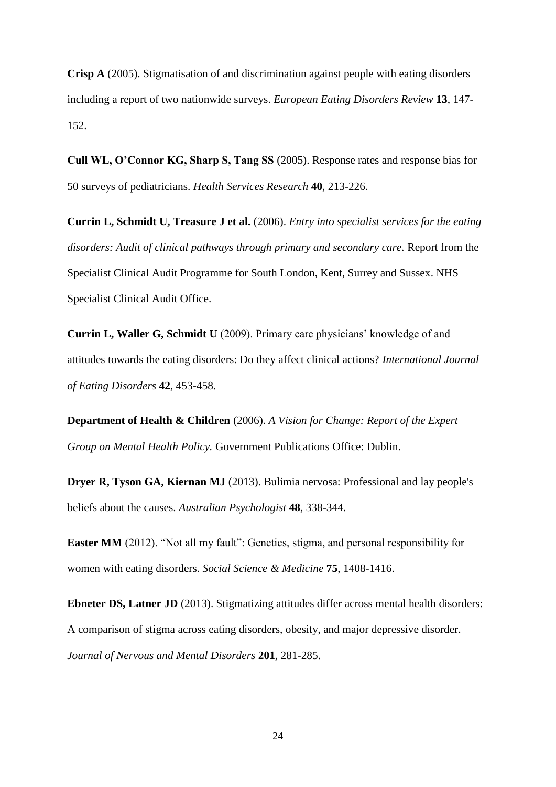**Crisp A** (2005). Stigmatisation of and discrimination against people with eating disorders including a report of two nationwide surveys. *European Eating Disorders Review* **13**, 147- 152.

**Cull WL, O'Connor KG, Sharp S, Tang SS** (2005). Response rates and response bias for 50 surveys of pediatricians. *Health Services Research* **40**, 213-226.

**Currin L, Schmidt U, Treasure J et al.** (2006). *Entry into specialist services for the eating disorders: Audit of clinical pathways through primary and secondary care.* Report from the Specialist Clinical Audit Programme for South London, Kent, Surrey and Sussex. NHS Specialist Clinical Audit Office.

**Currin L, Waller G, Schmidt U** (2009). Primary care physicians' knowledge of and attitudes towards the eating disorders: Do they affect clinical actions? *International Journal of Eating Disorders* **42**, 453-458.

**Department of Health & Children** (2006). *A Vision for Change: Report of the Expert Group on Mental Health Policy.* Government Publications Office: Dublin.

**Dryer R, Tyson GA, Kiernan MJ** (2013). Bulimia nervosa: Professional and lay people's beliefs about the causes. *Australian Psychologist* **48**, 338-344.

**Easter MM** (2012). "Not all my fault": Genetics, stigma, and personal responsibility for women with eating disorders. *Social Science & Medicine* **75**, 1408-1416.

**Ebneter DS, Latner JD** (2013). Stigmatizing attitudes differ across mental health disorders: A comparison of stigma across eating disorders, obesity, and major depressive disorder. *Journal of Nervous and Mental Disorders* **201**, 281-285.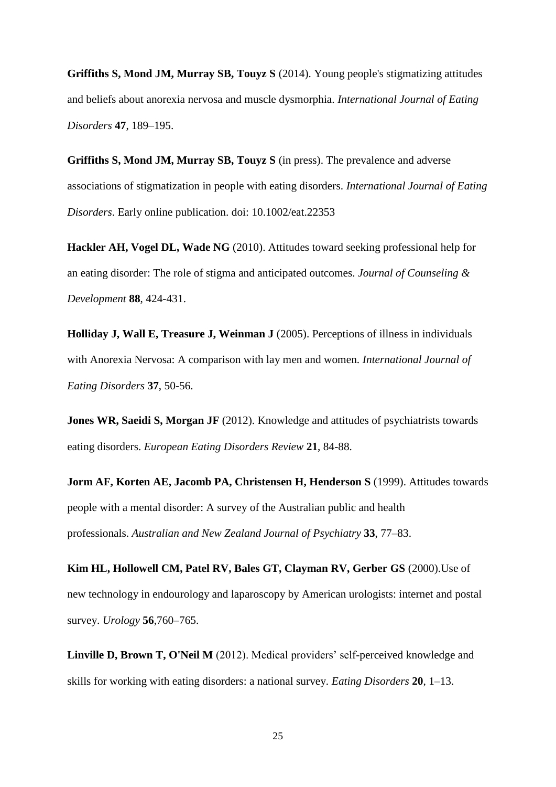**Griffiths S, Mond JM, Murray SB, Touyz S** (2014). Young people's stigmatizing attitudes and beliefs about anorexia nervosa and muscle dysmorphia. *International Journal of Eating Disorders* **47**, 189–195.

**Griffiths S, Mond JM, Murray SB, Touyz S** (in press). The prevalence and adverse associations of stigmatization in people with eating disorders. *International Journal of Eating Disorders*. Early online publication. doi: 10.1002/eat.22353

**Hackler AH, Vogel DL, Wade NG** (2010). Attitudes toward seeking professional help for an eating disorder: The role of stigma and anticipated outcomes. *Journal of Counseling & Development* **88**, 424-431.

**Holliday J, Wall E, Treasure J, Weinman J** (2005). Perceptions of illness in individuals with Anorexia Nervosa: A comparison with lay men and women. *International Journal of Eating Disorders* **37**, 50-56.

**Jones WR, Saeidi S, Morgan JF** (2012). Knowledge and attitudes of psychiatrists towards eating disorders. *European Eating Disorders Review* **21**, 84-88.

**Jorm AF, Korten AE, Jacomb PA, Christensen H, Henderson S** (1999). Attitudes towards people with a mental disorder: A survey of the Australian public and health professionals. *Australian and New Zealand Journal of Psychiatry* **33**, 77–83.

**Kim HL, Hollowell CM, Patel RV, Bales GT, Clayman RV, Gerber GS** (2000).Use of new technology in endourology and laparoscopy by American urologists: internet and postal survey. *Urology* **56**,760–765.

**Linville D, Brown T, O'Neil M** (2012). Medical providers' self-perceived knowledge and skills for working with eating disorders: a national survey. *Eating Disorders* **20**, 1–13.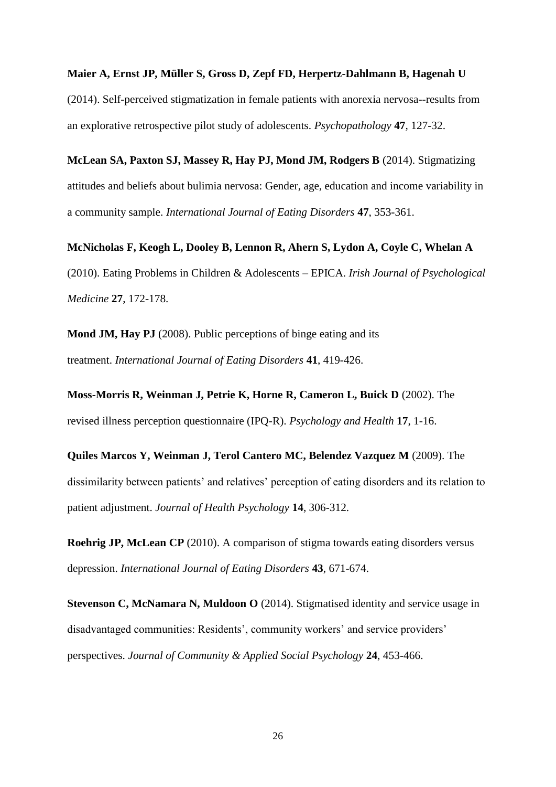**Maier A, Ernst JP, Müller S, Gross D, Zepf FD, Herpertz-Dahlmann B, Hagenah U** (2014). Self-perceived stigmatization in female patients with anorexia nervosa--results from an explorative retrospective pilot study of adolescents. *Psychopathology* **47***,* 127-32.

**McLean SA, Paxton SJ, Massey R, Hay PJ, Mond JM, Rodgers B** (2014). Stigmatizing attitudes and beliefs about bulimia nervosa: Gender, age, education and income variability in a community sample. *International Journal of Eating Disorders* **47**, 353-361.

**McNicholas F, Keogh L, Dooley B, Lennon R, Ahern S, Lydon A, Coyle C, Whelan A** (2010). Eating Problems in Children & Adolescents – EPICA. *Irish Journal of Psychological Medicine* **27**, 172-178.

**Mond JM, Hay PJ** (2008). Public perceptions of binge eating and its treatment. *International Journal of Eating Disorders* **41**, 419-426.

**Moss-Morris R, Weinman J, Petrie K, Horne R, Cameron L, Buick D** (2002). The revised illness perception questionnaire (IPQ-R). *Psychology and Health* **17**, 1-16.

**Quiles Marcos Y, Weinman J, Terol Cantero MC, Belendez Vazquez M** (2009). The dissimilarity between patients' and relatives' perception of eating disorders and its relation to patient adjustment. *Journal of Health Psychology* **14**, 306-312.

**Roehrig JP, McLean CP** (2010). A comparison of stigma towards eating disorders versus depression. *International Journal of Eating Disorders* **43**, 671-674.

**Stevenson C, McNamara N, Muldoon O** (2014). Stigmatised identity and service usage in disadvantaged communities: Residents', community workers' and service providers' perspectives. *Journal of Community & Applied Social Psychology* **24**, 453-466.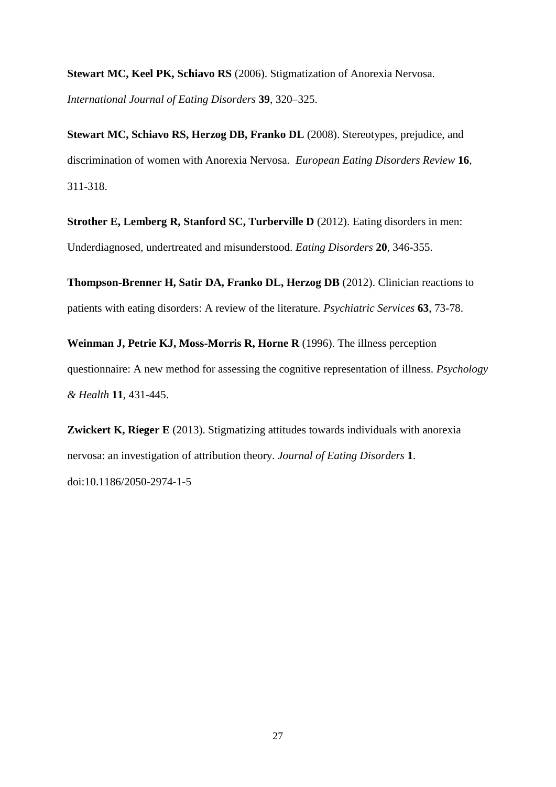**Stewart MC, Keel PK, Schiavo RS** (2006). Stigmatization of Anorexia Nervosa. *International Journal of Eating Disorders* **39**, 320–325.

**Stewart MC, Schiavo RS, Herzog DB, Franko DL** (2008). Stereotypes, prejudice, and discrimination of women with Anorexia Nervosa. *European Eating Disorders Review* **16**, 311-318.

**Strother E, Lemberg R, Stanford SC, Turberville D** (2012). Eating disorders in men: Underdiagnosed, undertreated and misunderstood. *Eating Disorders* **20**, 346-355.

**Thompson-Brenner H, Satir DA, Franko DL, Herzog DB** (2012). Clinician reactions to patients with eating disorders: A review of the literature. *Psychiatric Services* **63**, 73-78.

**Weinman J, Petrie KJ, Moss-Morris R, Horne R** (1996). The illness perception questionnaire: A new method for assessing the cognitive representation of illness. *Psychology & Health* **11**, 431-445.

**Zwickert K, Rieger E** (2013). Stigmatizing attitudes towards individuals with anorexia nervosa: an investigation of attribution theory. *Journal of Eating Disorders* **1**. doi:10.1186/2050-2974-1-5